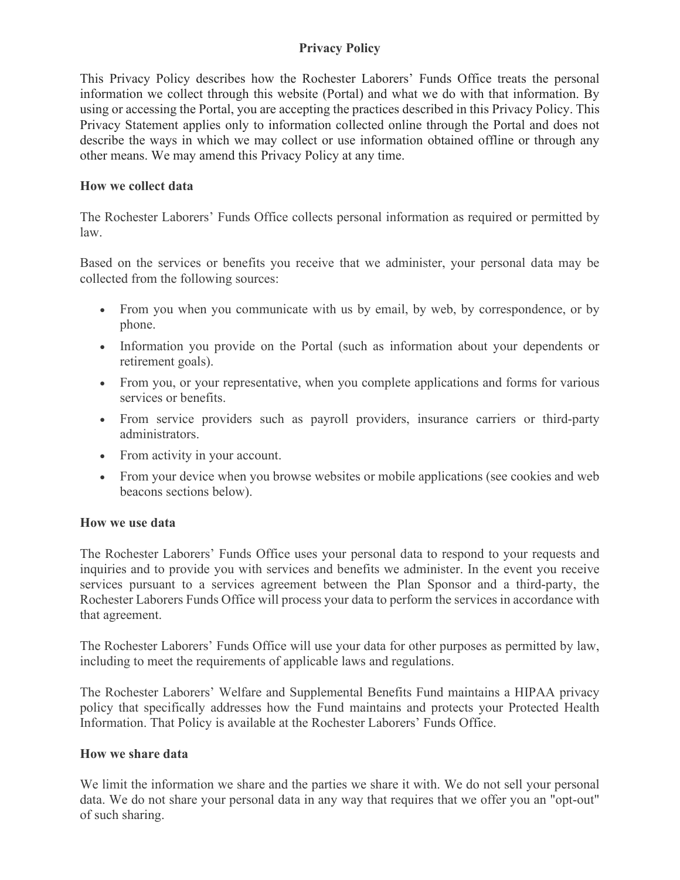# **Privacy Policy**

This Privacy Policy describes how the Rochester Laborers' Funds Office treats the personal information we collect through this website (Portal) and what we do with that information. By using or accessing the Portal, you are accepting the practices described in this Privacy Policy. This Privacy Statement applies only to information collected online through the Portal and does not describe the ways in which we may collect or use information obtained offline or through any other means. We may amend this Privacy Policy at any time.

### **How we collect data**

The Rochester Laborers' Funds Office collects personal information as required or permitted by law.

Based on the services or benefits you receive that we administer, your personal data may be collected from the following sources:

- From you when you communicate with us by email, by web, by correspondence, or by phone.
- Information you provide on the Portal (such as information about your dependents or retirement goals).
- From you, or your representative, when you complete applications and forms for various services or benefits.
- From service providers such as payroll providers, insurance carriers or third-party administrators.
- From activity in your account.
- From your device when you browse websites or mobile applications (see cookies and web beacons sections below).

### **How we use data**

The Rochester Laborers' Funds Office uses your personal data to respond to your requests and inquiries and to provide you with services and benefits we administer. In the event you receive services pursuant to a services agreement between the Plan Sponsor and a third-party, the Rochester Laborers Funds Office will process your data to perform the services in accordance with that agreement.

The Rochester Laborers' Funds Office will use your data for other purposes as permitted by law, including to meet the requirements of applicable laws and regulations.

The Rochester Laborers' Welfare and Supplemental Benefits Fund maintains a HIPAA privacy policy that specifically addresses how the Fund maintains and protects your Protected Health Information. That Policy is available at the Rochester Laborers' Funds Office.

### **How we share data**

We limit the information we share and the parties we share it with. We do not sell your personal data. We do not share your personal data in any way that requires that we offer you an "opt-out" of such sharing.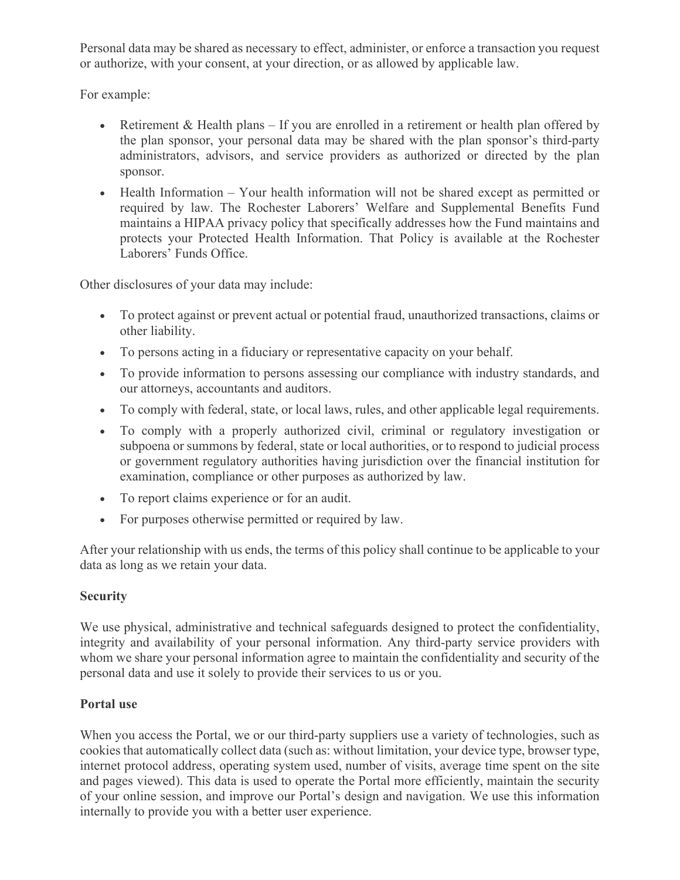Personal data may be shared as necessary to effect, administer, or enforce a transaction you request or authorize, with your consent, at your direction, or as allowed by applicable law.

For example:

- Retirement & Health plans If you are enrolled in a retirement or health plan offered by the plan sponsor, your personal data may be shared with the plan sponsor's third-party administrators, advisors, and service providers as authorized or directed by the plan sponsor.
- Health Information Your health information will not be shared except as permitted or required by law. The Rochester Laborers' Welfare and Supplemental Benefits Fund maintains a HIPAA privacy policy that specifically addresses how the Fund maintains and protects your Protected Health Information. That Policy is available at the Rochester Laborers' Funds Office.

Other disclosures of your data may include:

- To protect against or prevent actual or potential fraud, unauthorized transactions, claims or other liability.
- To persons acting in a fiduciary or representative capacity on your behalf.
- To provide information to persons assessing our compliance with industry standards, and our attorneys, accountants and auditors.
- To comply with federal, state, or local laws, rules, and other applicable legal requirements.
- To comply with a properly authorized civil, criminal or regulatory investigation or subpoena or summons by federal, state or local authorities, or to respond to judicial process or government regulatory authorities having jurisdiction over the financial institution for examination, compliance or other purposes as authorized by law.
- To report claims experience or for an audit.
- For purposes otherwise permitted or required by law.

After your relationship with us ends, the terms of this policy shall continue to be applicable to your data as long as we retain your data.

### **Security**

We use physical, administrative and technical safeguards designed to protect the confidentiality, integrity and availability of your personal information. Any third-party service providers with whom we share your personal information agree to maintain the confidentiality and security of the personal data and use it solely to provide their services to us or you.

### **Portal use**

When you access the Portal, we or our third-party suppliers use a variety of technologies, such as cookies that automatically collect data (such as: without limitation, your device type, browser type, internet protocol address, operating system used, number of visits, average time spent on the site and pages viewed). This data is used to operate the Portal more efficiently, maintain the security of your online session, and improve our Portal's design and navigation. We use this information internally to provide you with a better user experience.